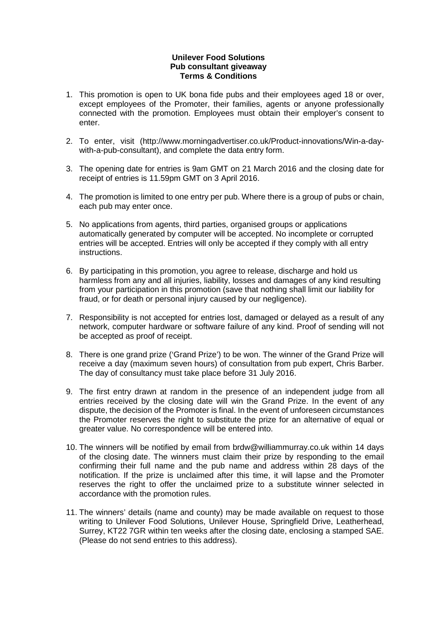## **Unilever Food Solutions Pub consultant giveaway Terms & Conditions**

- 1. This promotion is open to UK bona fide pubs and their employees aged 18 or over, except employees of the Promoter, their families, agents or anyone professionally connected with the promotion. Employees must obtain their employer's consent to enter.
- 2. To enter, visit (http://www.morningadvertiser.co.uk/Product-innovations/Win-a-daywith-a-pub-consultant), and complete the data entry form.
- 3. The opening date for entries is 9am GMT on 21 March 2016 and the closing date for receipt of entries is 11.59pm GMT on 3 April 2016.
- 4. The promotion is limited to one entry per pub. Where there is a group of pubs or chain, each pub may enter once.
- 5. No applications from agents, third parties, organised groups or applications automatically generated by computer will be accepted. No incomplete or corrupted entries will be accepted. Entries will only be accepted if they comply with all entry instructions.
- 6. By participating in this promotion, you agree to release, discharge and hold us harmless from any and all injuries, liability, losses and damages of any kind resulting from your participation in this promotion (save that nothing shall limit our liability for fraud, or for death or personal injury caused by our negligence).
- 7. Responsibility is not accepted for entries lost, damaged or delayed as a result of any network, computer hardware or software failure of any kind. Proof of sending will not be accepted as proof of receipt.
- 8. There is one grand prize ('Grand Prize') to be won. The winner of the Grand Prize will receive a day (maximum seven hours) of consultation from pub expert, Chris Barber. The day of consultancy must take place before 31 July 2016.
- 9. The first entry drawn at random in the presence of an independent judge from all entries received by the closing date will win the Grand Prize. In the event of any dispute, the decision of the Promoter is final. In the event of unforeseen circumstances the Promoter reserves the right to substitute the prize for an alternative of equal or greater value. No correspondence will be entered into.
- 10. The winners will be notified by email from brdw@williammurray.co.uk within 14 days of the closing date. The winners must claim their prize by responding to the email confirming their full name and the pub name and address within 28 days of the notification. If the prize is unclaimed after this time, it will lapse and the Promoter reserves the right to offer the unclaimed prize to a substitute winner selected in accordance with the promotion rules.
- 11. The winners' details (name and county) may be made available on request to those writing to Unilever Food Solutions, Unilever House, Springfield Drive, Leatherhead, Surrey, KT22 7GR within ten weeks after the closing date, enclosing a stamped SAE. (Please do not send entries to this address).